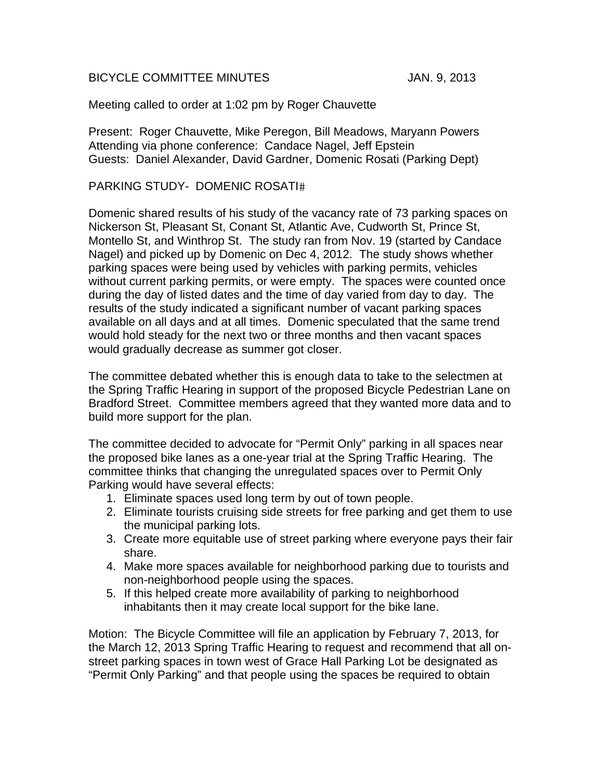## BICYCLE COMMITTEE MINUTES JAN. 9, 2013

## Meeting called to order at 1:02 pm by Roger Chauvette

Present: Roger Chauvette, Mike Peregon, Bill Meadows, Maryann Powers Attending via phone conference: Candace Nagel, Jeff Epstein Guests: Daniel Alexander, David Gardner, Domenic Rosati (Parking Dept)

## PARKING STUDY- DOMENIC ROSATI

Domenic shared results of his study of the vacancy rate of 73 parking spaces on Nickerson St, Pleasant St, Conant St, Atlantic Ave, Cudworth St, Prince St, Montello St, and Winthrop St. The study ran from Nov. 19 (started by Candace Nagel) and picked up by Domenic on Dec 4, 2012. The study shows whether parking spaces were being used by vehicles with parking permits, vehicles without current parking permits, or were empty. The spaces were counted once during the day of listed dates and the time of day varied from day to day. The results of the study indicated a significant number of vacant parking spaces available on all days and at all times. Domenic speculated that the same trend would hold steady for the next two or three months and then vacant spaces would gradually decrease as summer got closer.

The committee debated whether this is enough data to take to the selectmen at the Spring Traffic Hearing in support of the proposed Bicycle Pedestrian Lane on Bradford Street. Committee members agreed that they wanted more data and to build more support for the plan.

The committee decided to advocate for "Permit Only" parking in all spaces near the proposed bike lanes as a one-year trial at the Spring Traffic Hearing. The committee thinks that changing the unregulated spaces over to Permit Only Parking would have several effects:

- 1. Eliminate spaces used long term by out of town people.
- 2. Eliminate tourists cruising side streets for free parking and get them to use the municipal parking lots.
- 3. Create more equitable use of street parking where everyone pays their fair share.
- 4. Make more spaces available for neighborhood parking due to tourists and non-neighborhood people using the spaces.
- 5. If this helped create more availability of parking to neighborhood inhabitants then it may create local support for the bike lane.

Motion: The Bicycle Committee will file an application by February 7, 2013, for the March 12, 2013 Spring Traffic Hearing to request and recommend that all onstreet parking spaces in town west of Grace Hall Parking Lot be designated as "Permit Only Parking" and that people using the spaces be required to obtain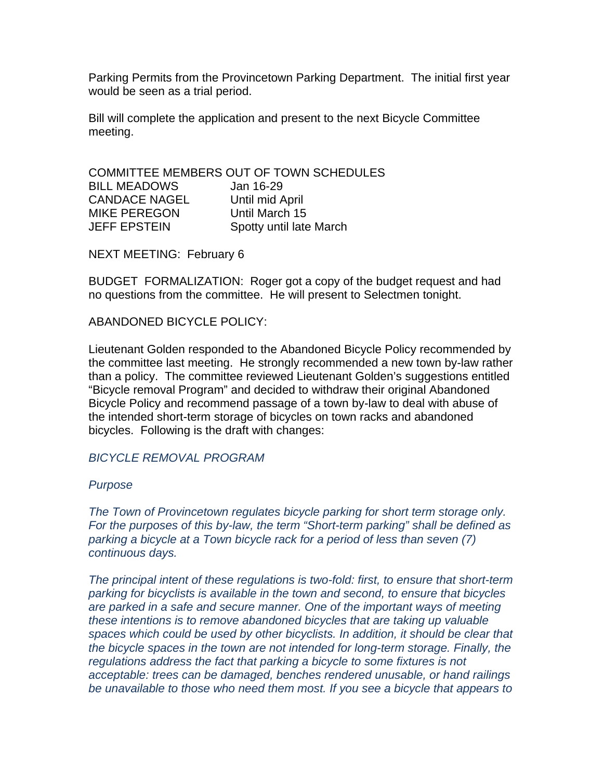Parking Permits from the Provincetown Parking Department. The initial first year would be seen as a trial period.

Bill will complete the application and present to the next Bicycle Committee meeting.

COMMITTEE MEMBERS OUT OF TOWN SCHEDULES BILL MEADOWS Jan 16-29 CANDACE NAGEL Until mid April MIKE PEREGON Until March 15 JEFF EPSTEIN Spotty until late March

NEXT MEETING: February 6

BUDGET FORMALIZATION: Roger got a copy of the budget request and had no questions from the committee. He will present to Selectmen tonight.

ABANDONED BICYCLE POLICY:

Lieutenant Golden responded to the Abandoned Bicycle Policy recommended by the committee last meeting. He strongly recommended a new town by-law rather than a policy. The committee reviewed Lieutenant Golden's suggestions entitled "Bicycle removal Program" and decided to withdraw their original Abandoned Bicycle Policy and recommend passage of a town by-law to deal with abuse of the intended short-term storage of bicycles on town racks and abandoned bicycles. Following is the draft with changes:

*BICYCLE REMOVAL PROGRAM* 

## *Purpose*

*The Town of Provincetown regulates bicycle parking for short term storage only. For the purposes of this by-law, the term "Short-term parking" shall be defined as parking a bicycle at a Town bicycle rack for a period of less than seven (7) continuous days.* 

*The principal intent of these regulations is two-fold: first, to ensure that short-term parking for bicyclists is available in the town and second, to ensure that bicycles are parked in a safe and secure manner. One of the important ways of meeting these intentions is to remove abandoned bicycles that are taking up valuable spaces which could be used by other bicyclists. In addition, it should be clear that the bicycle spaces in the town are not intended for long-term storage. Finally, the regulations address the fact that parking a bicycle to some fixtures is not acceptable: trees can be damaged, benches rendered unusable, or hand railings be unavailable to those who need them most. If you see a bicycle that appears to*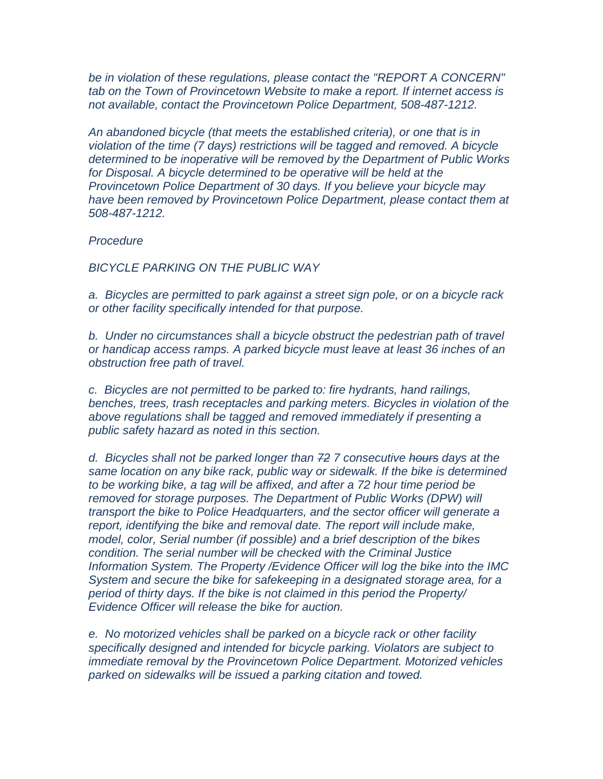*be in violation of these regulations, please contact the "REPORT A CONCERN" tab on the Town of Provincetown Website to make a report. If internet access is not available, contact the Provincetown Police Department, 508-487-1212.* 

*An abandoned bicycle (that meets the established criteria), or one that is in violation of the time (7 days) restrictions will be tagged and removed. A bicycle determined to be inoperative will be removed by the Department of Public Works for Disposal. A bicycle determined to be operative will be held at the Provincetown Police Department of 30 days. If you believe your bicycle may have been removed by Provincetown Police Department, please contact them at 508-487-1212.* 

*Procedure* 

*BICYCLE PARKING ON THE PUBLIC WAY* 

*a. Bicycles are permitted to park against a street sign pole, or on a bicycle rack or other facility specifically intended for that purpose.* 

*b. Under no circumstances shall a bicycle obstruct the pedestrian path of travel or handicap access ramps. A parked bicycle must leave at least 36 inches of an obstruction free path of travel.* 

*c. Bicycles are not permitted to be parked to: fire hydrants, hand railings, benches, trees, trash receptacles and parking meters. Bicycles in violation of the above regulations shall be tagged and removed immediately if presenting a public safety hazard as noted in this section.* 

*d. Bicycles shall not be parked longer than 72 7 consecutive hours days at the same location on any bike rack, public way or sidewalk. If the bike is determined to be working bike, a tag will be affixed, and after a 72 hour time period be removed for storage purposes. The Department of Public Works (DPW) will transport the bike to Police Headquarters, and the sector officer will generate a report, identifying the bike and removal date. The report will include make, model, color, Serial number (if possible) and a brief description of the bikes condition. The serial number will be checked with the Criminal Justice Information System. The Property /Evidence Officer will log the bike into the IMC System and secure the bike for safekeeping in a designated storage area, for a period of thirty days. If the bike is not claimed in this period the Property/ Evidence Officer will release the bike for auction.* 

*e. No motorized vehicles shall be parked on a bicycle rack or other facility specifically designed and intended for bicycle parking. Violators are subject to immediate removal by the Provincetown Police Department. Motorized vehicles parked on sidewalks will be issued a parking citation and towed.*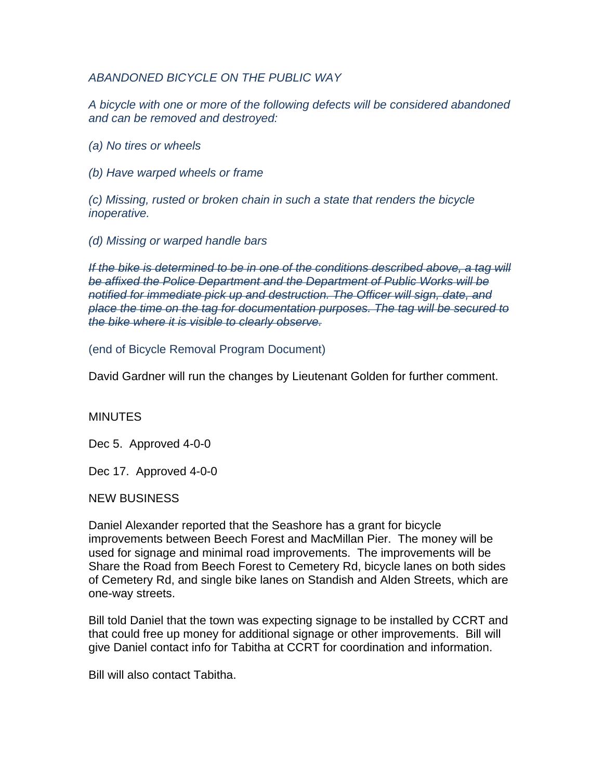*ABANDONED BICYCLE ON THE PUBLIC WAY* 

*A bicycle with one or more of the following defects will be considered abandoned and can be removed and destroyed:* 

*(a) No tires or wheels* 

*(b) Have warped wheels or frame* 

*(c) Missing, rusted or broken chain in such a state that renders the bicycle inoperative.* 

*(d) Missing or warped handle bars* 

*If the bike is determined to be in one of the conditions described above, a tag will be affixed the Police Department and the Department of Public Works will be notified for immediate pick up and destruction. The Officer will sign, date, and place the time on the tag for documentation purposes. The tag will be secured to the bike where it is visible to clearly observe.* 

(end of Bicycle Removal Program Document)

David Gardner will run the changes by Lieutenant Golden for further comment.

**MINUTES** 

Dec 5. Approved 4-0-0

Dec 17. Approved 4-0-0

NEW BUSINESS

Daniel Alexander reported that the Seashore has a grant for bicycle improvements between Beech Forest and MacMillan Pier. The money will be used for signage and minimal road improvements. The improvements will be Share the Road from Beech Forest to Cemetery Rd, bicycle lanes on both sides of Cemetery Rd, and single bike lanes on Standish and Alden Streets, which are one-way streets.

Bill told Daniel that the town was expecting signage to be installed by CCRT and that could free up money for additional signage or other improvements. Bill will give Daniel contact info for Tabitha at CCRT for coordination and information.

Bill will also contact Tabitha.